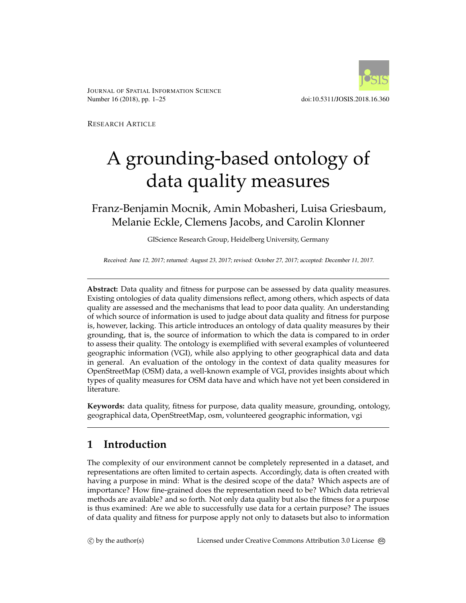

JOURNAL OF SPATIAL INFORMATION SCIENCE Number 16 (2018), pp. 1–25 doi:10.5311/JOSIS.2018.16.360

RESEARCH ARTICLE

# A grounding-based ontology of data quality measures

Franz-Benjamin Mocnik, Amin Mobasheri, Luisa Griesbaum, Melanie Eckle, Clemens Jacobs, and Carolin Klonner

GIScience Research Group, Heidelberg University, Germany

Received: June 12, 2017; returned: August 23, 2017; revised: October 27, 2017; accepted: December 11, 2017.

**Abstract:** Data quality and fitness for purpose can be assessed by data quality measures. Existing ontologies of data quality dimensions reflect, among others, which aspects of data quality are assessed and the mechanisms that lead to poor data quality. An understanding of which source of information is used to judge about data quality and fitness for purpose is, however, lacking. This article introduces an ontology of data quality measures by their grounding, that is, the source of information to which the data is compared to in order to assess their quality. The ontology is exemplified with several examples of volunteered geographic information (VGI), while also applying to other geographical data and data in general. An evaluation of the ontology in the context of data quality measures for OpenStreetMap (OSM) data, a well-known example of VGI, provides insights about which types of quality measures for OSM data have and which have not yet been considered in literature.

**Keywords:** data quality, fitness for purpose, data quality measure, grounding, ontology, geographical data, OpenStreetMap, osm, volunteered geographic information, vgi

# <span id="page-0-0"></span>**1 Introduction**

The complexity of our environment cannot be completely represented in a dataset, and representations are often limited to certain aspects. Accordingly, data is often created with having a purpose in mind: What is the desired scope of the data? Which aspects are of importance? How fine-grained does the representation need to be? Which data retrieval methods are available? and so forth. Not only data quality but also the fitness for a purpose is thus examined: Are we able to successfully use data for a certain purpose? The issues of data quality and fitness for purpose apply not only to datasets but also to information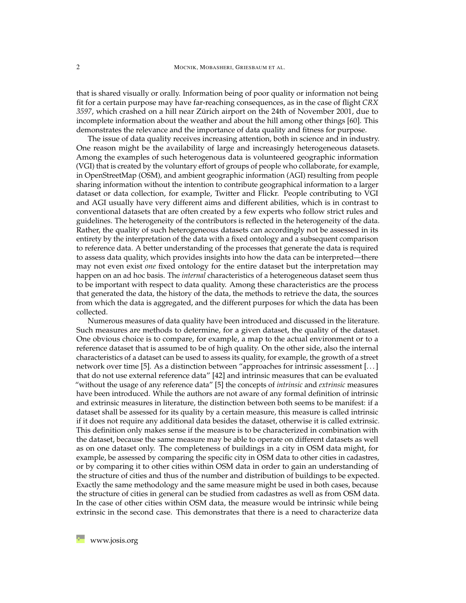that is shared visually or orally. Information being of poor quality or information not being fit for a certain purpose may have far-reaching consequences, as in the case of flight *CRX 3597*, which crashed on a hill near Zürich airport on the 24th of November 2001, due to incomplete information about the weather and about the hill among other things [\[60\]](#page-23-0). This demonstrates the relevance and the importance of data quality and fitness for purpose.

The issue of data quality receives increasing attention, both in science and in industry. One reason might be the availability of large and increasingly heterogeneous datasets. Among the examples of such heterogenous data is volunteered geographic information (VGI) that is created by the voluntary effort of groups of people who collaborate, for example, in OpenStreetMap (OSM), and ambient geographic information (AGI) resulting from people sharing information without the intention to contribute geographical information to a larger dataset or data collection, for example, Twitter and Flickr. People contributing to VGI and AGI usually have very different aims and different abilities, which is in contrast to conventional datasets that are often created by a few experts who follow strict rules and guidelines. The heterogeneity of the contributors is reflected in the heterogeneity of the data. Rather, the quality of such heterogeneous datasets can accordingly not be assessed in its entirety by the interpretation of the data with a fixed ontology and a subsequent comparison to reference data. A better understanding of the processes that generate the data is required to assess data quality, which provides insights into how the data can be interpreted—there may not even exist *one* fixed ontology for the entire dataset but the interpretation may happen on an ad hoc basis. The *internal* characteristics of a heterogeneous dataset seem thus to be important with respect to data quality. Among these characteristics are the process that generated the data, the history of the data, the methods to retrieve the data, the sources from which the data is aggregated, and the different purposes for which the data has been collected.

Numerous measures of data quality have been introduced and discussed in the literature. Such measures are methods to determine, for a given dataset, the quality of the dataset. One obvious choice is to compare, for example, a map to the actual environment or to a reference dataset that is assumed to be of high quality. On the other side, also the internal characteristics of a dataset can be used to assess its quality, for example, the growth of a street network over time [\[5\]](#page-19-0). As a distinction between "approaches for intrinsic assessment [. . . ] that do not use external reference data" [\[42\]](#page-22-0) and intrinsic measures that can be evaluated "without the usage of any reference data" [\[5\]](#page-19-0) the concepts of *intrinsic* and *extrinsic* measures have been introduced. While the authors are not aware of any formal definition of intrinsic and extrinsic measures in literature, the distinction between both seems to be manifest: if a dataset shall be assessed for its quality by a certain measure, this measure is called intrinsic if it does not require any additional data besides the dataset, otherwise it is called extrinsic. This definition only makes sense if the measure is to be characterized in combination with the dataset, because the same measure may be able to operate on different datasets as well as on one dataset only. The completeness of buildings in a city in OSM data might, for example, be assessed by comparing the specific city in OSM data to other cities in cadastres, or by comparing it to other cities within OSM data in order to gain an understanding of the structure of cities and thus of the number and distribution of buildings to be expected. Exactly the same methodology and the same measure might be used in both cases, because the structure of cities in general can be studied from cadastres as well as from OSM data. In the case of other cities within OSM data, the measure would be intrinsic while being extrinsic in the second case. This demonstrates that there is a need to characterize data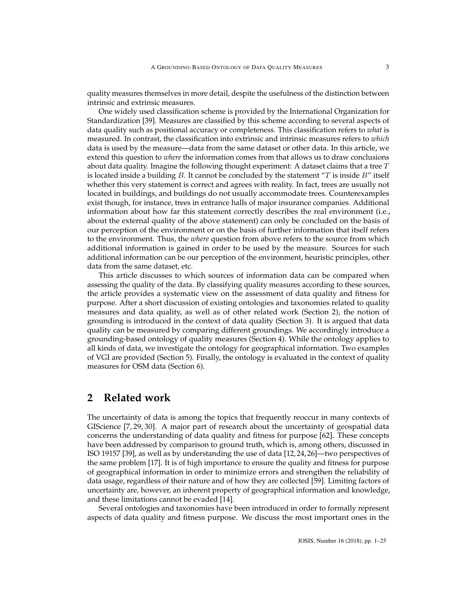quality measures themselves in more detail, despite the usefulness of the distinction between intrinsic and extrinsic measures.

One widely used classification scheme is provided by the International Organization for Standardization [\[39\]](#page-22-1). Measures are classified by this scheme according to several aspects of data quality such as positional accuracy or completeness. This classification refers to *what* is measured. In contrast, the classification into extrinsic and intrinsic measures refers to *which* data is used by the measure—data from the same dataset or other data. In this article, we extend this question to *where* the information comes from that allows us to draw conclusions about data quality. Imagine the following thought experiment: A dataset claims that a tree  $T$ is located inside a building  $B$ . It cannot be concluded by the statement " $T$  is inside  $B$ " itself whether this very statement is correct and agrees with reality. In fact, trees are usually not located in buildings, and buildings do not usually accommodate trees. Counterexamples exist though, for instance, trees in entrance halls of major insurance companies. Additional information about how far this statement correctly describes the real environment (i.e., about the external quality of the above statement) can only be concluded on the basis of our perception of the environment or on the basis of further information that itself refers to the environment. Thus, the *where* question from above refers to the source from which additional information is gained in order to be used by the measure. Sources for such additional information can be our perception of the environment, heuristic principles, other data from the same dataset, etc.

This article discusses to which sources of information data can be compared when assessing the quality of the data. By classifying quality measures according to these sources, the article provides a systematic view on the assessment of data quality and fitness for purpose. After a short discussion of existing ontologies and taxonomies related to quality measures and data quality, as well as of other related work (Section [2\)](#page-2-0), the notion of grounding is introduced in the context of data quality (Section [3\)](#page-4-0). It is argued that data quality can be measured by comparing different groundings. We accordingly introduce a grounding-based ontology of quality measures (Section [4\)](#page-7-0). While the ontology applies to all kinds of data, we investigate the ontology for geographical information. Two examples of VGI are provided (Section [5\)](#page-10-0). Finally, the ontology is evaluated in the context of quality measures for OSM data (Section [6\)](#page-13-0).

## <span id="page-2-0"></span>**2 Related work**

The uncertainty of data is among the topics that frequently reoccur in many contexts of GIScience [\[7,](#page-19-1) [29,](#page-21-0) [30\]](#page-21-1). A major part of research about the uncertainty of geospatial data concerns the understanding of data quality and fitness for purpose [\[62\]](#page-24-0). These concepts have been addressed by comparison to ground truth, which is, among others, discussed in ISO 19157 [\[39\]](#page-22-1), as well as by understanding the use of data [\[12,](#page-20-0) [24,](#page-21-2) [26\]](#page-21-3)—two perspectives of the same problem [\[17\]](#page-20-1). It is of high importance to ensure the quality and fitness for purpose of geographical information in order to minimize errors and strengthen the reliability of data usage, regardless of their nature and of how they are collected [\[59\]](#page-23-1). Limiting factors of uncertainty are, however, an inherent property of geographical information and knowledge, and these limitations cannot be evaded [\[14\]](#page-20-2).

Several ontologies and taxonomies have been introduced in order to formally represent aspects of data quality and fitness purpose. We discuss the most important ones in the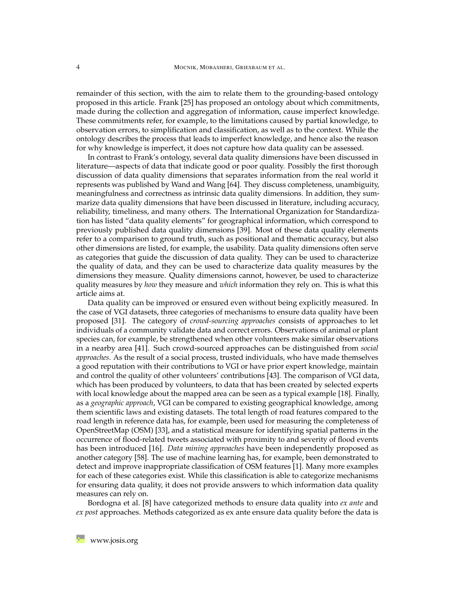remainder of this section, with the aim to relate them to the grounding-based ontology proposed in this article. Frank [\[25\]](#page-21-4) has proposed an ontology about which commitments, made during the collection and aggregation of information, cause imperfect knowledge. These commitments refer, for example, to the limitations caused by partial knowledge, to observation errors, to simplification and classification, as well as to the context. While the ontology describes the process that leads to imperfect knowledge, and hence also the reason for why knowledge is imperfect, it does not capture how data quality can be assessed.

In contrast to Frank's ontology, several data quality dimensions have been discussed in literature—aspects of data that indicate good or poor quality. Possibly the first thorough discussion of data quality dimensions that separates information from the real world it represents was published by Wand and Wang [\[64\]](#page-24-1). They discuss completeness, unambiguity, meaningfulness and correctness as intrinsic data quality dimensions. In addition, they summarize data quality dimensions that have been discussed in literature, including accuracy, reliability, timeliness, and many others. The International Organization for Standardization has listed "data quality elements" for geographical information, which correspond to previously published data quality dimensions [\[39\]](#page-22-1). Most of these data quality elements refer to a comparison to ground truth, such as positional and thematic accuracy, but also other dimensions are listed, for example, the usability. Data quality dimensions often serve as categories that guide the discussion of data quality. They can be used to characterize the quality of data, and they can be used to characterize data quality measures by the dimensions they measure. Quality dimensions cannot, however, be used to characterize quality measures by *how* they measure and *which* information they rely on. This is what this article aims at.

Data quality can be improved or ensured even without being explicitly measured. In the case of VGI datasets, three categories of mechanisms to ensure data quality have been proposed [\[31\]](#page-21-5). The category of *crowd-sourcing approaches* consists of approaches to let individuals of a community validate data and correct errors. Observations of animal or plant species can, for example, be strengthened when other volunteers make similar observations in a nearby area [\[41\]](#page-22-2). Such crowd-sourced approaches can be distinguished from *social approaches*. As the result of a social process, trusted individuals, who have made themselves a good reputation with their contributions to VGI or have prior expert knowledge, maintain and control the quality of other volunteers' contributions [\[43\]](#page-22-3). The comparison of VGI data, which has been produced by volunteers, to data that has been created by selected experts with local knowledge about the mapped area can be seen as a typical example [\[18\]](#page-20-3). Finally, as a *geographic approach*, VGI can be compared to existing geographical knowledge, among them scientific laws and existing datasets. The total length of road features compared to the road length in reference data has, for example, been used for measuring the completeness of OpenStreetMap (OSM) [\[33\]](#page-21-6), and a statistical measure for identifying spatial patterns in the occurrence of flood-related tweets associated with proximity to and severity of flood events has been introduced [\[16\]](#page-20-4). *Data mining approaches* have been independently proposed as another category [\[58\]](#page-23-2). The use of machine learning has, for example, been demonstrated to detect and improve inappropriate classification of OSM features [\[1\]](#page-19-2). Many more examples for each of these categories exist. While this classification is able to categorize mechanisms for ensuring data quality, it does not provide answers to which information data quality measures can rely on.

Bordogna et al. [\[8\]](#page-19-3) have categorized methods to ensure data quality into *ex ante* and *ex post* approaches. Methods categorized as ex ante ensure data quality before the data is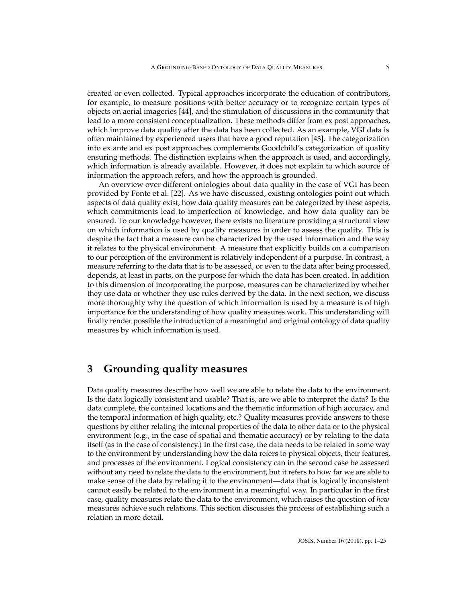created or even collected. Typical approaches incorporate the education of contributors, for example, to measure positions with better accuracy or to recognize certain types of objects on aerial imageries [\[44\]](#page-22-4), and the stimulation of discussions in the community that lead to a more consistent conceptualization. These methods differ from ex post approaches, which improve data quality after the data has been collected. As an example, VGI data is often maintained by experienced users that have a good reputation [\[43\]](#page-22-3). The categorization into ex ante and ex post approaches complements Goodchild's categorization of quality ensuring methods. The distinction explains when the approach is used, and accordingly, which information is already available. However, it does not explain to which source of information the approach refers, and how the approach is grounded.

An overview over different ontologies about data quality in the case of VGI has been provided by Fonte et al. [\[22\]](#page-21-7). As we have discussed, existing ontologies point out which aspects of data quality exist, how data quality measures can be categorized by these aspects, which commitments lead to imperfection of knowledge, and how data quality can be ensured. To our knowledge however, there exists no literature providing a structural view on which information is used by quality measures in order to assess the quality. This is despite the fact that a measure can be characterized by the used information and the way it relates to the physical environment. A measure that explicitly builds on a comparison to our perception of the environment is relatively independent of a purpose. In contrast, a measure referring to the data that is to be assessed, or even to the data after being processed, depends, at least in parts, on the purpose for which the data has been created. In addition to this dimension of incorporating the purpose, measures can be characterized by whether they use data or whether they use rules derived by the data. In the next section, we discuss more thoroughly why the question of which information is used by a measure is of high importance for the understanding of how quality measures work. This understanding will finally render possible the introduction of a meaningful and original ontology of data quality measures by which information is used.

# <span id="page-4-0"></span>**3 Grounding quality measures**

Data quality measures describe how well we are able to relate the data to the environment. Is the data logically consistent and usable? That is, are we able to interpret the data? Is the data complete, the contained locations and the thematic information of high accuracy, and the temporal information of high quality, etc.? Quality measures provide answers to these questions by either relating the internal properties of the data to other data or to the physical environment (e.g., in the case of spatial and thematic accuracy) or by relating to the data itself (as in the case of consistency.) In the first case, the data needs to be related in some way to the environment by understanding how the data refers to physical objects, their features, and processes of the environment. Logical consistency can in the second case be assessed without any need to relate the data to the environment, but it refers to how far we are able to make sense of the data by relating it to the environment—data that is logically inconsistent cannot easily be related to the environment in a meaningful way. In particular in the first case, quality measures relate the data to the environment, which raises the question of *how* measures achieve such relations. This section discusses the process of establishing such a relation in more detail.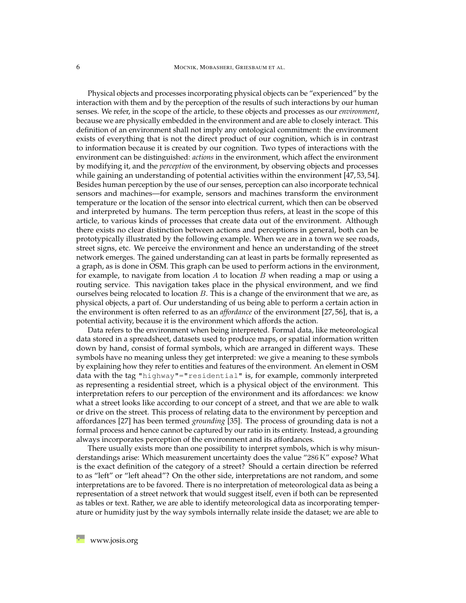Physical objects and processes incorporating physical objects can be "experienced" by the interaction with them and by the perception of the results of such interactions by our human senses. We refer, in the scope of the article, to these objects and processes as our *environment*, because we are physically embedded in the environment and are able to closely interact. This definition of an environment shall not imply any ontological commitment: the environment exists of everything that is not the direct product of our cognition, which is in contrast to information because it is created by our cognition. Two types of interactions with the environment can be distinguished: *actions* in the environment, which affect the environment by modifying it, and the *perception* of the environment, by observing objects and processes while gaining an understanding of potential activities within the environment [\[47,](#page-23-3)[53,](#page-23-4)[54\]](#page-23-5). Besides human perception by the use of our senses, perception can also incorporate technical sensors and machines—for example, sensors and machines transform the environment temperature or the location of the sensor into electrical current, which then can be observed and interpreted by humans. The term perception thus refers, at least in the scope of this article, to various kinds of processes that create data out of the environment. Although there exists no clear distinction between actions and perceptions in general, both can be prototypically illustrated by the following example. When we are in a town we see roads, street signs, etc. We perceive the environment and hence an understanding of the street network emerges. The gained understanding can at least in parts be formally represented as a graph, as is done in OSM. This graph can be used to perform actions in the environment, for example, to navigate from location  $A$  to location  $B$  when reading a map or using a routing service. This navigation takes place in the physical environment, and we find ourselves being relocated to location  $B$ . This is a change of the environment that we are, as physical objects, a part of. Our understanding of us being able to perform a certain action in the environment is often referred to as an *affordance* of the environment [\[27,](#page-21-8) [56\]](#page-23-6), that is, a potential activity, because it is the environment which affords the action.

Data refers to the environment when being interpreted. Formal data, like meteorological data stored in a spreadsheet, datasets used to produce maps, or spatial information written down by hand, consist of formal symbols, which are arranged in different ways. These symbols have no meaning unless they get interpreted: we give a meaning to these symbols by explaining how they refer to entities and features of the environment. An element in OSM data with the tag "highway"="residential" is, for example, commonly interpreted as representing a residential street, which is a physical object of the environment. This interpretation refers to our perception of the environment and its affordances: we know what a street looks like according to our concept of a street, and that we are able to walk or drive on the street. This process of relating data to the environment by perception and affordances [\[27\]](#page-21-8) has been termed *grounding* [\[35\]](#page-22-5). The process of grounding data is not a formal process and hence cannot be captured by our ratio in its entirety. Instead, a grounding always incorporates perception of the environment and its affordances.

There usually exists more than one possibility to interpret symbols, which is why misunderstandings arise: Which measurement uncertainty does the value "286 K" expose? What is the exact definition of the category of a street? Should a certain direction be referred to as "left" or "left ahead"? On the other side, interpretations are not random, and some interpretations are to be favored. There is no interpretation of meteorological data as being a representation of a street network that would suggest itself, even if both can be represented as tables or text. Rather, we are able to identify meteorological data as incorporating temperature or humidity just by the way symbols internally relate inside the dataset; we are able to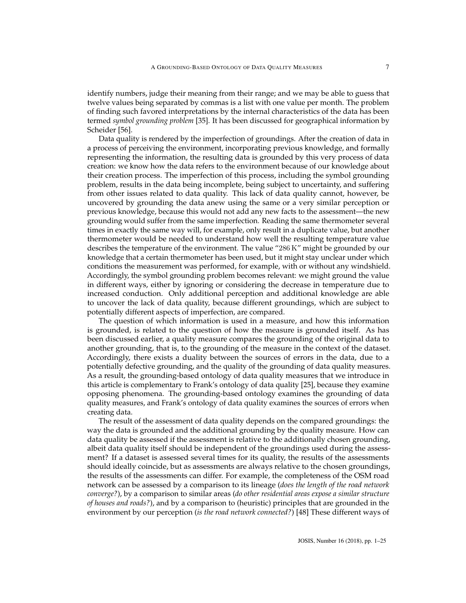identify numbers, judge their meaning from their range; and we may be able to guess that twelve values being separated by commas is a list with one value per month. The problem of finding such favored interpretations by the internal characteristics of the data has been termed *symbol grounding problem* [\[35\]](#page-22-5). It has been discussed for geographical information by Scheider [\[56\]](#page-23-6).

Data quality is rendered by the imperfection of groundings. After the creation of data in a process of perceiving the environment, incorporating previous knowledge, and formally representing the information, the resulting data is grounded by this very process of data creation: we know how the data refers to the environment because of our knowledge about their creation process. The imperfection of this process, including the symbol grounding problem, results in the data being incomplete, being subject to uncertainty, and suffering from other issues related to data quality. This lack of data quality cannot, however, be uncovered by grounding the data anew using the same or a very similar perception or previous knowledge, because this would not add any new facts to the assessment—the new grounding would suffer from the same imperfection. Reading the same thermometer several times in exactly the same way will, for example, only result in a duplicate value, but another thermometer would be needed to understand how well the resulting temperature value describes the temperature of the environment. The value "286 K" might be grounded by our knowledge that a certain thermometer has been used, but it might stay unclear under which conditions the measurement was performed, for example, with or without any windshield. Accordingly, the symbol grounding problem becomes relevant: we might ground the value in different ways, either by ignoring or considering the decrease in temperature due to increased conduction. Only additional perception and additional knowledge are able to uncover the lack of data quality, because different groundings, which are subject to potentially different aspects of imperfection, are compared.

The question of which information is used in a measure, and how this information is grounded, is related to the question of how the measure is grounded itself. As has been discussed earlier, a quality measure compares the grounding of the original data to another grounding, that is, to the grounding of the measure in the context of the dataset. Accordingly, there exists a duality between the sources of errors in the data, due to a potentially defective grounding, and the quality of the grounding of data quality measures. As a result, the grounding-based ontology of data quality measures that we introduce in this article is complementary to Frank's ontology of data quality [\[25\]](#page-21-4), because they examine opposing phenomena. The grounding-based ontology examines the grounding of data quality measures, and Frank's ontology of data quality examines the sources of errors when creating data.

The result of the assessment of data quality depends on the compared groundings: the way the data is grounded and the additional grounding by the quality measure. How can data quality be assessed if the assessment is relative to the additionally chosen grounding, albeit data quality itself should be independent of the groundings used during the assessment? If a dataset is assessed several times for its quality, the results of the assessments should ideally coincide, but as assessments are always relative to the chosen groundings, the results of the assessments can differ. For example, the completeness of the OSM road network can be assessed by a comparison to its lineage (*does the length of the road network converge?*), by a comparison to similar areas (*do other residential areas expose a similar structure of houses and roads?*), and by a comparison to (heuristic) principles that are grounded in the environment by our perception (*is the road network connected?*) [\[48\]](#page-23-7) These different ways of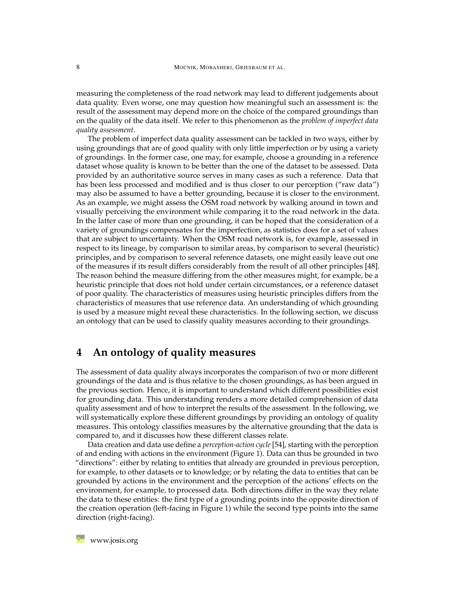measuring the completeness of the road network may lead to different judgements about data quality. Even worse, one may question how meaningful such an assessment is: the result of the assessment may depend more on the choice of the compared groundings than on the quality of the data itself. We refer to this phenomenon as the *problem of imperfect data quality assessment*.

The problem of imperfect data quality assessment can be tackled in two ways, either by using groundings that are of good quality with only little imperfection or by using a variety of groundings. In the former case, one may, for example, choose a grounding in a reference dataset whose quality is known to be better than the one of the dataset to be assessed. Data provided by an authoritative source serves in many cases as such a reference. Data that has been less processed and modified and is thus closer to our perception ("raw data") may also be assumed to have a better grounding, because it is closer to the environment. As an example, we might assess the OSM road network by walking around in town and visually perceiving the environment while comparing it to the road network in the data. In the latter case of more than one grounding, it can be hoped that the consideration of a variety of groundings compensates for the imperfection, as statistics does for a set of values that are subject to uncertainty. When the OSM road network is, for example, assessed in respect to its lineage, by comparison to similar areas, by comparison to several (heuristic) principles, and by comparison to several reference datasets, one might easily leave out one of the measures if its result differs considerably from the result of all other principles [\[48\]](#page-23-7). The reason behind the measure differing from the other measures might, for example, be a heuristic principle that does not hold under certain circumstances, or a reference dataset of poor quality. The characteristics of measures using heuristic principles differs from the characteristics of measures that use reference data. An understanding of which grounding is used by a measure might reveal these characteristics. In the following section, we discuss an ontology that can be used to classify quality measures according to their groundings.

# <span id="page-7-0"></span>**4 An ontology of quality measures**

The assessment of data quality always incorporates the comparison of two or more different groundings of the data and is thus relative to the chosen groundings, as has been argued in the previous section. Hence, it is important to understand which different possibilities exist for grounding data. This understanding renders a more detailed comprehension of data quality assessment and of how to interpret the results of the assessment. In the following, we will systematically explore these different groundings by providing an ontology of quality measures. This ontology classifies measures by the alternative grounding that the data is compared to, and it discusses how these different classes relate.

Data creation and data use define a *perception-action cycle* [\[54\]](#page-23-5), starting with the perception of and ending with actions in the environment (Figure [1\)](#page-8-0). Data can thus be grounded in two "directions": either by relating to entities that already are grounded in previous perception, for example, to other datasets or to knowledge; or by relating the data to entities that can be grounded by actions in the environment and the perception of the actions' effects on the environment, for example, to processed data. Both directions differ in the way they relate the data to these entities: the first type of a grounding points into the opposite direction of the creation operation (left-facing in Figure [1\)](#page-8-0) while the second type points into the same direction (right-facing).

**[www.josis.org](http://www.josis.org)**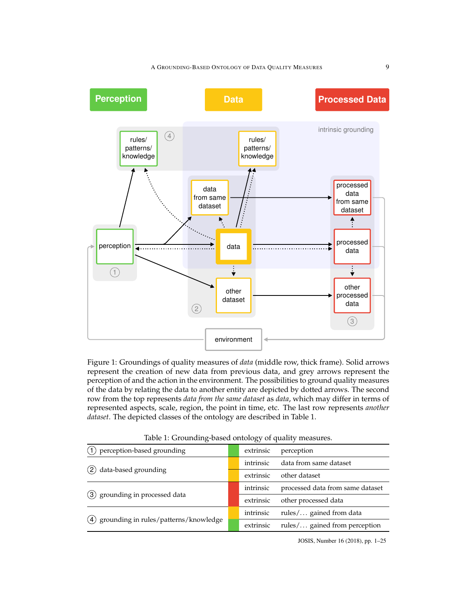A GROUNDING-BASED ONTOLOGY OF DATA QUALITY MEASURES 9

<span id="page-8-0"></span>

Figure 1: Groundings of quality measures of *data* (middle row, thick frame). Solid arrows represent the creation of new data from previous data, and grey arrows represent the perception of and the action in the environment. The possibilities to ground quality measures of the data by relating the data to another entity are depicted by dotted arrows. The second row from the top represents *data from the same dataset* as *data*, which may differ in terms of represented aspects, scale, region, the point in time, etc. The last row represents *another dataset*. The depicted classes of the ontology are described in Table [1.](#page-8-0)

| perception-based grounding                   |  | extrinsic | perception                       |
|----------------------------------------------|--|-----------|----------------------------------|
| data-based grounding<br>$\mathbf{2}^{\circ}$ |  | intrinsic | data from same dataset           |
|                                              |  | extrinsic | other dataset                    |
|                                              |  | intrinsic | processed data from same dataset |
| (3) grounding in processed data              |  | extrinsic | other processed data             |
| grounding in rules/patterns/knowledge<br>(4) |  | intrinsic | rules/ gained from data          |
|                                              |  | extrinsic | rules/ gained from perception    |

Table 1: Grounding-based ontology of quality measures.

JOSIS, Number 16 (2018), pp. 1–25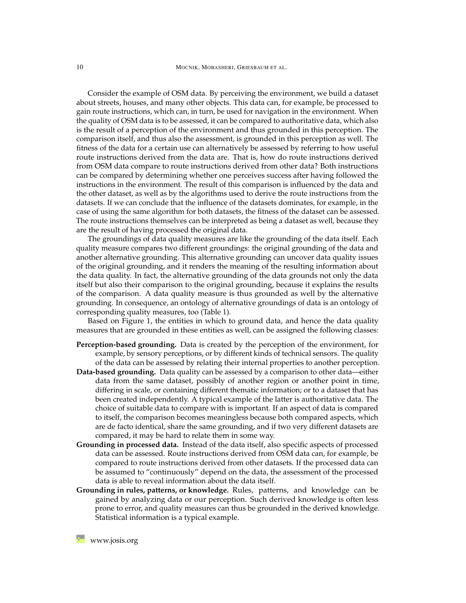Consider the example of OSM data. By perceiving the environment, we build a dataset about streets, houses, and many other objects. This data can, for example, be processed to gain route instructions, which can, in turn, be used for navigation in the environment. When the quality of OSM data is to be assessed, it can be compared to authoritative data, which also is the result of a perception of the environment and thus grounded in this perception. The comparison itself, and thus also the assessment, is grounded in this perception as well. The fitness of the data for a certain use can alternatively be assessed by referring to how useful route instructions derived from the data are. That is, how do route instructions derived from OSM data compare to route instructions derived from other data? Both instructions can be compared by determining whether one perceives success after having followed the instructions in the environment. The result of this comparison is influenced by the data and the other dataset, as well as by the algorithms used to derive the route instructions from the datasets. If we can conclude that the influence of the datasets dominates, for example, in the case of using the same algorithm for both datasets, the fitness of the dataset can be assessed. The route instructions themselves can be interpreted as being a dataset as well, because they are the result of having processed the original data.

The groundings of data quality measures are like the grounding of the data itself. Each quality measure compares two different groundings: the original grounding of the data and another alternative grounding. This alternative grounding can uncover data quality issues of the original grounding, and it renders the meaning of the resulting information about the data quality. In fact, the alternative grounding of the data grounds not only the data itself but also their comparison to the original grounding, because it explains the results of the comparison. A data quality measure is thus grounded as well by the alternative grounding. In consequence, an ontology of alternative groundings of data is an ontology of corresponding quality measures, too (Table [1\)](#page-8-0).

Based on Figure [1,](#page-8-0) the entities in which to ground data, and hence the data quality measures that are grounded in these entities as well, can be assigned the following classes:

- **Perception-based grounding.** Data is created by the perception of the environment, for example, by sensory perceptions, or by different kinds of technical sensors. The quality of the data can be assessed by relating their internal properties to another perception.
- **Data-based grounding.** Data quality can be assessed by a comparison to other data—either data from the same dataset, possibly of another region or another point in time, differing in scale, or containing different thematic information; or to a dataset that has been created independently. A typical example of the latter is authoritative data. The choice of suitable data to compare with is important. If an aspect of data is compared to itself, the comparison becomes meaningless because both compared aspects, which are de facto identical, share the same grounding, and if two very different datasets are compared, it may be hard to relate them in some way.
- **Grounding in processed data.** Instead of the data itself, also specific aspects of processed data can be assessed. Route instructions derived from OSM data can, for example, be compared to route instructions derived from other datasets. If the processed data can be assumed to "continuously" depend on the data, the assessment of the processed data is able to reveal information about the data itself.
- **Grounding in rules, patterns, or knowledge.** Rules, patterns, and knowledge can be gained by analyzing data or our perception. Such derived knowledge is often less prone to error, and quality measures can thus be grounded in the derived knowledge. Statistical information is a typical example.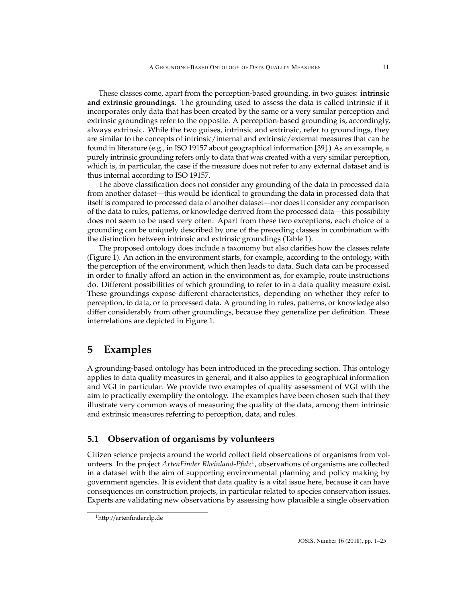These classes come, apart from the perception-based grounding, in two guises: **intrinsic and extrinsic groundings**. The grounding used to assess the data is called intrinsic if it incorporates only data that has been created by the same or a very similar perception and extrinsic groundings refer to the opposite. A perception-based grounding is, accordingly, always extrinsic. While the two guises, intrinsic and extrinsic, refer to groundings, they are similar to the concepts of intrinsic/internal and extrinsic/external measures that can be found in literature (e.g., in ISO 19157 about geographical information [\[39\]](#page-22-1).) As an example, a purely intrinsic grounding refers only to data that was created with a very similar perception, which is, in particular, the case if the measure does not refer to any external dataset and is thus internal according to ISO 19157.

The above classification does not consider any grounding of the data in processed data from another dataset—this would be identical to grounding the data in processed data that itself is compared to processed data of another dataset—nor does it consider any comparison of the data to rules, patterns, or knowledge derived from the processed data—this possibility does not seem to be used very often. Apart from these two exceptions, each choice of a grounding can be uniquely described by one of the preceding classes in combination with the distinction between intrinsic and extrinsic groundings (Table [1\)](#page-8-0).

The proposed ontology does include a taxonomy but also clarifies how the classes relate (Figure [1\)](#page-8-0). An action in the environment starts, for example, according to the ontology, with the perception of the environment, which then leads to data. Such data can be processed in order to finally afford an action in the environment as, for example, route instructions do. Different possibilities of which grounding to refer to in a data quality measure exist. These groundings expose different characteristics, depending on whether they refer to perception, to data, or to processed data. A grounding in rules, patterns, or knowledge also differ considerably from other groundings, because they generalize per definition. These interrelations are depicted in Figure [1.](#page-8-0)

## <span id="page-10-0"></span>**5 Examples**

A grounding-based ontology has been introduced in the preceding section. This ontology applies to data quality measures in general, and it also applies to geographical information and VGI in particular. We provide two examples of quality assessment of VGI with the aim to practically exemplify the ontology. The examples have been chosen such that they illustrate very common ways of measuring the quality of the data, among them intrinsic and extrinsic measures referring to perception, data, and rules.

#### <span id="page-10-2"></span>**5.1 Observation of organisms by volunteers**

Citizen science projects around the world collect field observations of organisms from volunteers. In the project *ArtenFinder Rheinland-Pfalz*[1](#page-10-1) , observations of organisms are collected in a dataset with the aim of supporting environmental planning and policy making by government agencies. It is evident that data quality is a vital issue here, because it can have consequences on construction projects, in particular related to species conservation issues. Experts are validating new observations by assessing how plausible a single observation

<span id="page-10-1"></span><sup>1</sup><http://artenfinder.rlp.de>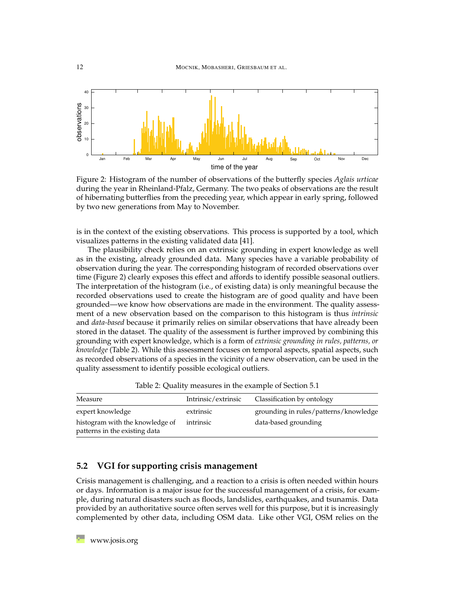<span id="page-11-0"></span>

Figure 2: Histogram of the number of observations of the butterfly species *Aglais urticae* during the year in Rheinland-Pfalz, Germany. The two peaks of observations are the result of hibernating butterflies from the preceding year, which appear in early spring, followed by two new generations from May to November.

is in the context of the existing observations. This process is supported by a tool, which visualizes patterns in the existing validated data [\[41\]](#page-22-2).

The plausibility check relies on an extrinsic grounding in expert knowledge as well as in the existing, already grounded data. Many species have a variable probability of observation during the year. The corresponding histogram of recorded observations over time (Figure [2\)](#page-11-0) clearly exposes this effect and affords to identify possible seasonal outliers. The interpretation of the histogram (i.e., of existing data) is only meaningful because the recorded observations used to create the histogram are of good quality and have been grounded—we know how observations are made in the environment. The quality assessment of a new observation based on the comparison to this histogram is thus *intrinsic* and *data-based* because it primarily relies on similar observations that have already been stored in the dataset. The quality of the assessment is further improved by combining this grounding with expert knowledge, which is a form of *extrinsic grounding in rules, patterns, or knowledge* (Table [2\)](#page-11-1). While this assessment focuses on temporal aspects, spatial aspects, such as recorded observations of a species in the vicinity of a new observation, can be used in the quality assessment to identify possible ecological outliers.

Table 2: Quality measures in the example of Section [5.1](#page-10-2)

<span id="page-11-1"></span>

| Measure                                                          | Intrinsic/extrinsic | Classification by ontology            |
|------------------------------------------------------------------|---------------------|---------------------------------------|
| expert knowledge                                                 | extrinsic           | grounding in rules/patterns/knowledge |
| histogram with the knowledge of<br>patterns in the existing data | intrinsic           | data-based grounding                  |

#### <span id="page-11-2"></span>**5.2 VGI for supporting crisis management**

Crisis management is challenging, and a reaction to a crisis is often needed within hours or days. Information is a major issue for the successful management of a crisis, for example, during natural disasters such as floods, landslides, earthquakes, and tsunamis. Data provided by an authoritative source often serves well for this purpose, but it is increasingly complemented by other data, including OSM data. Like other VGI, OSM relies on the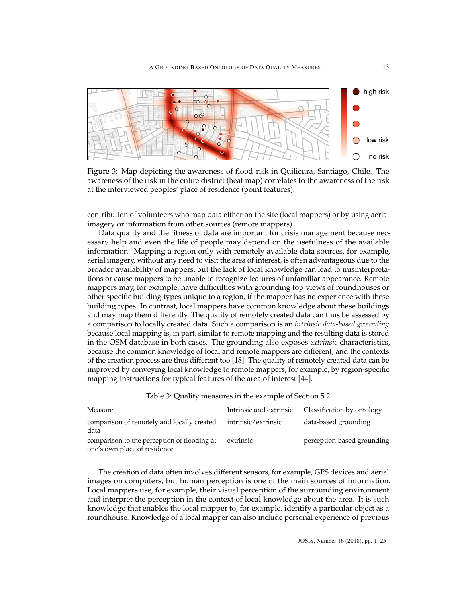<span id="page-12-0"></span>

Figure 3: Map depicting the awareness of flood risk in Quilicura, Santiago, Chile. The awareness of the risk in the entire district (heat map) correlates to the awareness of the risk at the interviewed peoples' place of residence (point features).

contribution of volunteers who map data either on the site (local mappers) or by using aerial imagery or information from other sources (remote mappers).

Data quality and the fitness of data are important for crisis management because necessary help and even the life of people may depend on the usefulness of the available information. Mapping a region only with remotely available data sources, for example, aerial imagery, without any need to visit the area of interest, is often advantageous due to the broader availability of mappers, but the lack of local knowledge can lead to misinterpretations or cause mappers to be unable to recognize features of unfamiliar appearance. Remote mappers may, for example, have difficulties with grounding top views of roundhouses or other specific building types unique to a region, if the mapper has no experience with these building types. In contrast, local mappers have common knowledge about these buildings and may map them differently. The quality of remotely created data can thus be assessed by a comparison to locally created data. Such a comparison is an *intrinsic data-based grounding* because local mapping is, in part, similar to remote mapping and the resulting data is stored in the OSM database in both cases. The grounding also exposes *extrinsic* characteristics, because the common knowledge of local and remote mappers are different, and the contexts of the creation process are thus different too [\[18\]](#page-20-3). The quality of remotely created data can be improved by conveying local knowledge to remote mappers, for example, by region-specific mapping instructions for typical features of the area of interest [\[44\]](#page-22-4).

<span id="page-12-1"></span>

| Measure                                                                     |                     | Intrinsic and extrinsic Classification by ontology |
|-----------------------------------------------------------------------------|---------------------|----------------------------------------------------|
| comparison of remotely and locally created<br>data                          | intrinsic/extrinsic | data-based grounding                               |
| comparison to the perception of flooding at<br>one's own place of residence | extrinsic           | perception-based grounding                         |

Table 3: Quality measures in the example of Section [5.2](#page-11-2)

The creation of data often involves different sensors, for example, GPS devices and aerial images on computers, but human perception is one of the main sources of information. Local mappers use, for example, their visual perception of the surrounding environment and interpret the perception in the context of local knowledge about the area. It is such knowledge that enables the local mapper to, for example, identify a particular object as a roundhouse. Knowledge of a local mapper can also include personal experience of previous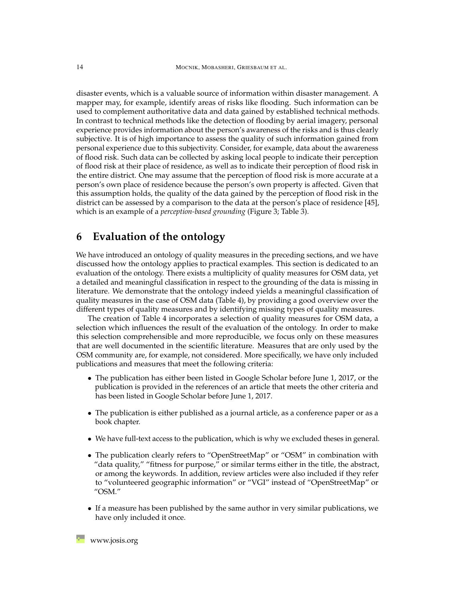disaster events, which is a valuable source of information within disaster management. A mapper may, for example, identify areas of risks like flooding. Such information can be used to complement authoritative data and data gained by established technical methods. In contrast to technical methods like the detection of flooding by aerial imagery, personal experience provides information about the person's awareness of the risks and is thus clearly subjective. It is of high importance to assess the quality of such information gained from personal experience due to this subjectivity. Consider, for example, data about the awareness of flood risk. Such data can be collected by asking local people to indicate their perception of flood risk at their place of residence, as well as to indicate their perception of flood risk in the entire district. One may assume that the perception of flood risk is more accurate at a person's own place of residence because the person's own property is affected. Given that this assumption holds, the quality of the data gained by the perception of flood risk in the district can be assessed by a comparison to the data at the person's place of residence [\[45\]](#page-22-6), which is an example of a *perception-based grounding* (Figure [3;](#page-12-0) Table [3\)](#page-12-1).

## <span id="page-13-0"></span>**6 Evaluation of the ontology**

We have introduced an ontology of quality measures in the preceding sections, and we have discussed how the ontology applies to practical examples. This section is dedicated to an evaluation of the ontology. There exists a multiplicity of quality measures for OSM data, yet a detailed and meaningful classification in respect to the grounding of the data is missing in literature. We demonstrate that the ontology indeed yields a meaningful classification of quality measures in the case of OSM data (Table [4\)](#page-14-0), by providing a good overview over the different types of quality measures and by identifying missing types of quality measures.

The creation of Table [4](#page-14-0) incorporates a selection of quality measures for OSM data, a selection which influences the result of the evaluation of the ontology. In order to make this selection comprehensible and more reproducible, we focus only on these measures that are well documented in the scientific literature. Measures that are only used by the OSM community are, for example, not considered. More specifically, we have only included publications and measures that meet the following criteria:

- The publication has either been listed in Google Scholar before June 1, 2017, or the publication is provided in the references of an article that meets the other criteria and has been listed in Google Scholar before June 1, 2017.
- The publication is either published as a journal article, as a conference paper or as a book chapter.
- We have full-text access to the publication, which is why we excluded theses in general.
- The publication clearly refers to "OpenStreetMap" or "OSM" in combination with "data quality," "fitness for purpose," or similar terms either in the title, the abstract, or among the keywords. In addition, review articles were also included if they refer to "volunteered geographic information" or "VGI" instead of "OpenStreetMap" or "OSM."
- If a measure has been published by the same author in very similar publications, we have only included it once.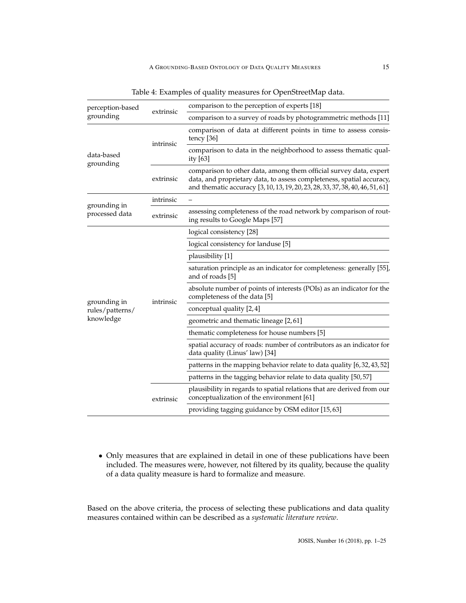<span id="page-14-0"></span>

| perception-based<br>extrinsic<br>grounding   |           | comparison to the perception of experts [18]                                                                                                                                                                                |  |  |
|----------------------------------------------|-----------|-----------------------------------------------------------------------------------------------------------------------------------------------------------------------------------------------------------------------------|--|--|
|                                              |           | comparison to a survey of roads by photogrammetric methods [11]                                                                                                                                                             |  |  |
| data-based<br>grounding                      | intrinsic | comparison of data at different points in time to assess consis-<br>tency [36]                                                                                                                                              |  |  |
|                                              |           | comparison to data in the neighborhood to assess thematic qual-<br>ity [63]                                                                                                                                                 |  |  |
|                                              | extrinsic | comparison to other data, among them official survey data, expert<br>data, and proprietary data, to assess completeness, spatial accuracy,<br>and thematic accuracy [3, 10, 13, 19, 20, 23, 28, 33, 37, 38, 40, 46, 51, 61] |  |  |
| grounding in<br>processed data               | intrinsic |                                                                                                                                                                                                                             |  |  |
|                                              | extrinsic | assessing completeness of the road network by comparison of rout-<br>ing results to Google Maps [57]                                                                                                                        |  |  |
| grounding in<br>rules/patterns/<br>knowledge |           | logical consistency [28]                                                                                                                                                                                                    |  |  |
|                                              |           | logical consistency for landuse [5]                                                                                                                                                                                         |  |  |
|                                              |           | plausibility [1]                                                                                                                                                                                                            |  |  |
|                                              | intrinsic | saturation principle as an indicator for completeness: generally [55],<br>and of roads [5]                                                                                                                                  |  |  |
|                                              |           | absolute number of points of interests (POIs) as an indicator for the<br>completeness of the data [5]                                                                                                                       |  |  |
|                                              |           | conceptual quality [2, 4]                                                                                                                                                                                                   |  |  |
|                                              |           | geometric and thematic lineage [2,61]                                                                                                                                                                                       |  |  |
|                                              |           | thematic completeness for house numbers [5]                                                                                                                                                                                 |  |  |
|                                              |           | spatial accuracy of roads: number of contributors as an indicator for<br>data quality (Linus' law) [34]                                                                                                                     |  |  |
|                                              |           | patterns in the mapping behavior relate to data quality [6,32,43,52]                                                                                                                                                        |  |  |
|                                              |           | patterns in the tagging behavior relate to data quality [50,57]                                                                                                                                                             |  |  |
|                                              | extrinsic | plausibility in regards to spatial relations that are derived from our<br>conceptualization of the environment [61]                                                                                                         |  |  |
|                                              |           | providing tagging guidance by OSM editor [15,63]                                                                                                                                                                            |  |  |

Table 4: Examples of quality measures for OpenStreetMap data.

• Only measures that are explained in detail in one of these publications have been included. The measures were, however, not filtered by its quality, because the quality of a data quality measure is hard to formalize and measure.

Based on the above criteria, the process of selecting these publications and data quality measures contained within can be described as a *systematic literature review*.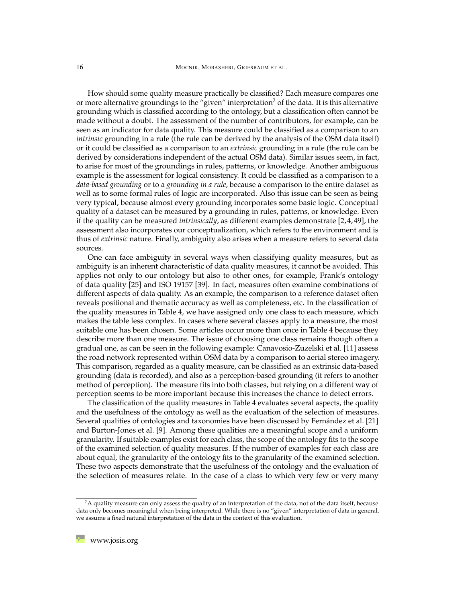How should some quality measure practically be classified? Each measure compares one or more alternative groundings to the "given" interpretation<sup>[2](#page-15-0)</sup> of the data. It is this alternative grounding which is classified according to the ontology, but a classification often cannot be made without a doubt. The assessment of the number of contributors, for example, can be seen as an indicator for data quality. This measure could be classified as a comparison to an *intrinsic* grounding in a rule (the rule can be derived by the analysis of the OSM data itself) or it could be classified as a comparison to an *extrinsic* grounding in a rule (the rule can be derived by considerations independent of the actual OSM data). Similar issues seem, in fact, to arise for most of the groundings in rules, patterns, or knowledge. Another ambiguous example is the assessment for logical consistency. It could be classified as a comparison to a *data-based grounding* or to a *grounding in a rule*, because a comparison to the entire dataset as well as to some formal rules of logic are incorporated. Also this issue can be seen as being very typical, because almost every grounding incorporates some basic logic. Conceptual quality of a dataset can be measured by a grounding in rules, patterns, or knowledge. Even if the quality can be measured *intrinsically*, as different examples demonstrate [\[2,](#page-19-5)[4,](#page-19-6)[49\]](#page-23-13), the assessment also incorporates our conceptualization, which refers to the environment and is thus of *extrinsic* nature. Finally, ambiguity also arises when a measure refers to several data sources.

One can face ambiguity in several ways when classifying quality measures, but as ambiguity is an inherent characteristic of data quality measures, it cannot be avoided. This applies not only to our ontology but also to other ones, for example, Frank's ontology of data quality [\[25\]](#page-21-4) and ISO 19157 [\[39\]](#page-22-1). In fact, measures often examine combinations of different aspects of data quality. As an example, the comparison to a reference dataset often reveals positional and thematic accuracy as well as completeness, etc. In the classification of the quality measures in Table [4,](#page-14-0) we have assigned only one class to each measure, which makes the table less complex. In cases where several classes apply to a measure, the most suitable one has been chosen. Some articles occur more than once in Table [4](#page-14-0) because they describe more than one measure. The issue of choosing one class remains though often a gradual one, as can be seen in the following example: Canavosio-Zuzelski et al. [\[11\]](#page-20-5) assess the road network represented within OSM data by a comparison to aerial stereo imagery. This comparison, regarded as a quality measure, can be classified as an extrinsic data-based grounding (data is recorded), and also as a perception-based grounding (it refers to another method of perception). The measure fits into both classes, but relying on a different way of perception seems to be more important because this increases the chance to detect errors.

The classification of the quality measures in Table [4](#page-14-0) evaluates several aspects, the quality and the usefulness of the ontology as well as the evaluation of the selection of measures. Several qualities of ontologies and taxonomies have been discussed by Fernández et al. [\[21\]](#page-20-11) and Burton-Jones et al. [\[9\]](#page-19-8). Among these qualities are a meaningful scope and a uniform granularity. If suitable examples exist for each class, the scope of the ontology fits to the scope of the examined selection of quality measures. If the number of examples for each class are about equal, the granularity of the ontology fits to the granularity of the examined selection. These two aspects demonstrate that the usefulness of the ontology and the evaluation of the selection of measures relate. In the case of a class to which very few or very many

<span id="page-15-0"></span><sup>&</sup>lt;sup>2</sup>A quality measure can only assess the quality of an interpretation of the data, not of the data itself, because data only becomes meaningful when being interpreted. While there is no "given" interpretation of data in general, we assume a fixed natural interpretation of the data in the context of this evaluation.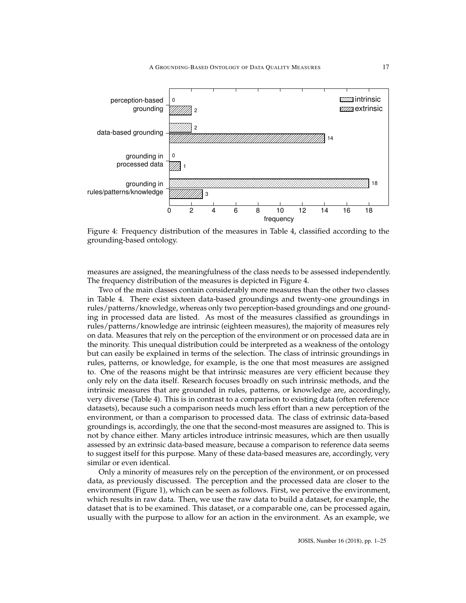<span id="page-16-0"></span>

Figure 4: Frequency distribution of the measures in Table [4,](#page-14-0) classified according to the grounding-based ontology.

measures are assigned, the meaningfulness of the class needs to be assessed independently. The frequency distribution of the measures is depicted in Figure [4.](#page-16-0)

Two of the main classes contain considerably more measures than the other two classes in Table [4.](#page-14-0) There exist sixteen data-based groundings and twenty-one groundings in rules/patterns/knowledge, whereas only two perception-based groundings and one grounding in processed data are listed. As most of the measures classified as groundings in rules/patterns/knowledge are intrinsic (eighteen measures), the majority of measures rely on data. Measures that rely on the perception of the environment or on processed data are in the minority. This unequal distribution could be interpreted as a weakness of the ontology but can easily be explained in terms of the selection. The class of intrinsic groundings in rules, patterns, or knowledge, for example, is the one that most measures are assigned to. One of the reasons might be that intrinsic measures are very efficient because they only rely on the data itself. Research focuses broadly on such intrinsic methods, and the intrinsic measures that are grounded in rules, patterns, or knowledge are, accordingly, very diverse (Table [4\)](#page-14-0). This is in contrast to a comparison to existing data (often reference datasets), because such a comparison needs much less effort than a new perception of the environment, or than a comparison to processed data. The class of extrinsic data-based groundings is, accordingly, the one that the second-most measures are assigned to. This is not by chance either. Many articles introduce intrinsic measures, which are then usually assessed by an extrinsic data-based measure, because a comparison to reference data seems to suggest itself for this purpose. Many of these data-based measures are, accordingly, very similar or even identical.

Only a minority of measures rely on the perception of the environment, or on processed data, as previously discussed. The perception and the processed data are closer to the environment (Figure [1\)](#page-8-0), which can be seen as follows. First, we perceive the environment, which results in raw data. Then, we use the raw data to build a dataset, for example, the dataset that is to be examined. This dataset, or a comparable one, can be processed again, usually with the purpose to allow for an action in the environment. As an example, we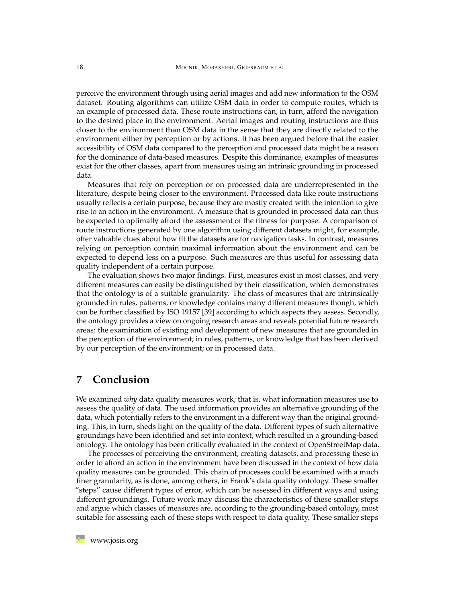perceive the environment through using aerial images and add new information to the OSM dataset. Routing algorithms can utilize OSM data in order to compute routes, which is an example of processed data. These route instructions can, in turn, afford the navigation to the desired place in the environment. Aerial images and routing instructions are thus closer to the environment than OSM data in the sense that they are directly related to the environment either by perception or by actions. It has been argued before that the easier accessibility of OSM data compared to the perception and processed data might be a reason for the dominance of data-based measures. Despite this dominance, examples of measures exist for the other classes, apart from measures using an intrinsic grounding in processed data.

Measures that rely on perception or on processed data are underrepresented in the literature, despite being closer to the environment. Processed data like route instructions usually reflects a certain purpose, because they are mostly created with the intention to give rise to an action in the environment. A measure that is grounded in processed data can thus be expected to optimally afford the assessment of the fitness for purpose. A comparison of route instructions generated by one algorithm using different datasets might, for example, offer valuable clues about how fit the datasets are for navigation tasks. In contrast, measures relying on perception contain maximal information about the environment and can be expected to depend less on a purpose. Such measures are thus useful for assessing data quality independent of a certain purpose.

The evaluation shows two major findings. First, measures exist in most classes, and very different measures can easily be distinguished by their classification, which demonstrates that the ontology is of a suitable granularity. The class of measures that are intrinsically grounded in rules, patterns, or knowledge contains many different measures though, which can be further classified by ISO 19157 [\[39\]](#page-22-1) according to which aspects they assess. Secondly, the ontology provides a view on ongoing research areas and reveals potential future research areas: the examination of existing and development of new measures that are grounded in the perception of the environment; in rules, patterns, or knowledge that has been derived by our perception of the environment; or in processed data.

## <span id="page-17-0"></span>**7 Conclusion**

We examined *why* data quality measures work; that is, what information measures use to assess the quality of data. The used information provides an alternative grounding of the data, which potentially refers to the environment in a different way than the original grounding. This, in turn, sheds light on the quality of the data. Different types of such alternative groundings have been identified and set into context, which resulted in a grounding-based ontology. The ontology has been critically evaluated in the context of OpenStreetMap data.

The processes of perceiving the environment, creating datasets, and processing these in order to afford an action in the environment have been discussed in the context of how data quality measures can be grounded. This chain of processes could be examined with a much finer granularity, as is done, among others, in Frank's data quality ontology. These smaller "steps" cause different types of error, which can be assessed in different ways and using different groundings. Future work may discuss the characteristics of these smaller steps and argue which classes of measures are, according to the grounding-based ontology, most suitable for assessing each of these steps with respect to data quality. These smaller steps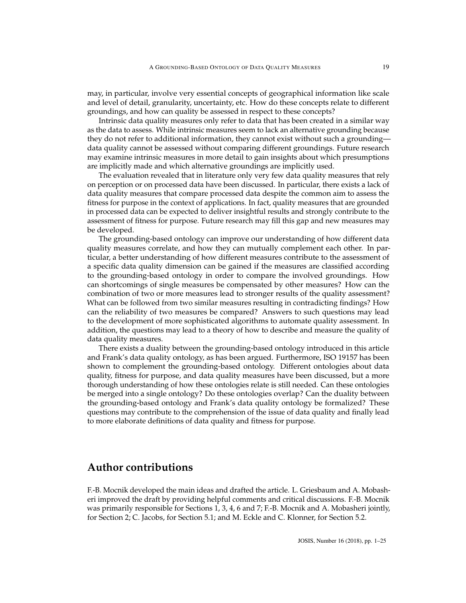may, in particular, involve very essential concepts of geographical information like scale and level of detail, granularity, uncertainty, etc. How do these concepts relate to different groundings, and how can quality be assessed in respect to these concepts?

Intrinsic data quality measures only refer to data that has been created in a similar way as the data to assess. While intrinsic measures seem to lack an alternative grounding because they do not refer to additional information, they cannot exist without such a grounding data quality cannot be assessed without comparing different groundings. Future research may examine intrinsic measures in more detail to gain insights about which presumptions are implicitly made and which alternative groundings are implicitly used.

The evaluation revealed that in literature only very few data quality measures that rely on perception or on processed data have been discussed. In particular, there exists a lack of data quality measures that compare processed data despite the common aim to assess the fitness for purpose in the context of applications. In fact, quality measures that are grounded in processed data can be expected to deliver insightful results and strongly contribute to the assessment of fitness for purpose. Future research may fill this gap and new measures may be developed.

The grounding-based ontology can improve our understanding of how different data quality measures correlate, and how they can mutually complement each other. In particular, a better understanding of how different measures contribute to the assessment of a specific data quality dimension can be gained if the measures are classified according to the grounding-based ontology in order to compare the involved groundings. How can shortcomings of single measures be compensated by other measures? How can the combination of two or more measures lead to stronger results of the quality assessment? What can be followed from two similar measures resulting in contradicting findings? How can the reliability of two measures be compared? Answers to such questions may lead to the development of more sophisticated algorithms to automate quality assessment. In addition, the questions may lead to a theory of how to describe and measure the quality of data quality measures.

There exists a duality between the grounding-based ontology introduced in this article and Frank's data quality ontology, as has been argued. Furthermore, ISO 19157 has been shown to complement the grounding-based ontology. Different ontologies about data quality, fitness for purpose, and data quality measures have been discussed, but a more thorough understanding of how these ontologies relate is still needed. Can these ontologies be merged into a single ontology? Do these ontologies overlap? Can the duality between the grounding-based ontology and Frank's data quality ontology be formalized? These questions may contribute to the comprehension of the issue of data quality and finally lead to more elaborate definitions of data quality and fitness for purpose.

### **Author contributions**

F.-B. Mocnik developed the main ideas and drafted the article. L. Griesbaum and A. Mobasheri improved the draft by providing helpful comments and critical discussions. F.-B. Mocnik was primarily responsible for Sections [1,](#page-0-0) [3,](#page-4-0) [4,](#page-7-0) [6](#page-13-0) and [7;](#page-17-0) F.-B. Mocnik and A. Mobasheri jointly, for Section [2;](#page-2-0) C. Jacobs, for Section [5.1;](#page-10-2) and M. Eckle and C. Klonner, for Section [5.2.](#page-11-2)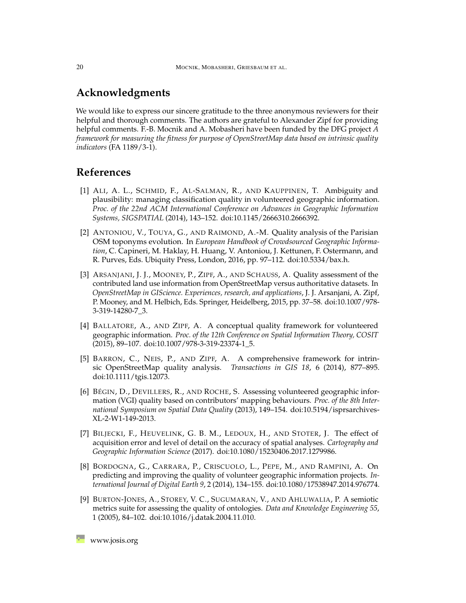# **Acknowledgments**

We would like to express our sincere gratitude to the three anonymous reviewers for their helpful and thorough comments. The authors are grateful to Alexander Zipf for providing helpful comments. F.-B. Mocnik and A. Mobasheri have been funded by the DFG project *A framework for measuring the fitness for purpose of OpenStreetMap data based on intrinsic quality indicators* (FA 1189/3-1).

# **References**

- <span id="page-19-2"></span>[1] ALI, A. L., SCHMID, F., AL-SALMAN, R., AND KAUPPINEN, T. Ambiguity and plausibility: managing classification quality in volunteered geographic information. *Proc. of the 22nd ACM International Conference on Advances in Geographic Information Systems, SIGSPATIAL* (2014), 143–152. [doi:10.1145/2666310.2666392.](http://dx.doi.org/10.1145/2666310.2666392)
- <span id="page-19-5"></span>[2] ANTONIOU, V., TOUYA, G., AND RAIMOND, A.-M. Quality analysis of the Parisian OSM toponyms evolution. In *European Handbook of Crowdsourced Geographic Information*, C. Capineri, M. Haklay, H. Huang, V. Antoniou, J. Kettunen, F. Ostermann, and R. Purves, Eds. Ubiquity Press, London, 2016, pp. 97–112. [doi:10.5334/bax.h.](http://dx.doi.org/10.5334/bax.h)
- <span id="page-19-4"></span>[3] ARSANJANI, J. J., MOONEY, P., ZIPF, A., AND SCHAUSS, A. Quality assessment of the contributed land use information from OpenStreetMap versus authoritative datasets. In *OpenStreetMap in GIScience. Experiences, research, and applications*, J. J. Arsanjani, A. Zipf, P. Mooney, and M. Helbich, Eds. Springer, Heidelberg, 2015, pp. 37–58. [doi:10.1007/978-](http://dx.doi.org/10.1007/978-3-319-14280-7_3) [3-319-14280-7\\_3.](http://dx.doi.org/10.1007/978-3-319-14280-7_3)
- <span id="page-19-6"></span>[4] BALLATORE, A., AND ZIPF, A. A conceptual quality framework for volunteered geographic information. *Proc. of the 12th Conference on Spatial Information Theory, COSIT* (2015), 89–107. [doi:10.1007/978-3-319-23374-1\\_5.](http://dx.doi.org/10.1007/978-3-319-23374-1_5)
- <span id="page-19-0"></span>[5] BARRON, C., NEIS, P., AND ZIPF, A. A comprehensive framework for intrinsic OpenStreetMap quality analysis. *Transactions in GIS 18*, 6 (2014), 877–895. [doi:10.1111/tgis.12073.](http://dx.doi.org/10.1111/tgis.12073)
- <span id="page-19-7"></span>[6] BÉGIN, D., DEVILLERS, R., AND ROCHE, S. Assessing volunteered geographic information (VGI) quality based on contributors' mapping behaviours. *Proc. of the 8th International Symposium on Spatial Data Quality* (2013), 149–154. [doi:10.5194/isprsarchives-](http://dx.doi.org/10.5194/isprsarchives-XL-2-W1-149-2013)[XL-2-W1-149-2013.](http://dx.doi.org/10.5194/isprsarchives-XL-2-W1-149-2013)
- <span id="page-19-1"></span>[7] BILJECKI, F., HEUVELINK, G. B. M., LEDOUX, H., AND STOTER, J. The effect of acquisition error and level of detail on the accuracy of spatial analyses. *Cartography and Geographic Information Science* (2017). [doi:10.1080/15230406.2017.1279986.](http://dx.doi.org/10.1080/15230406.2017.1279986)
- <span id="page-19-3"></span>[8] BORDOGNA, G., CARRARA, P., CRISCUOLO, L., PEPE, M., AND RAMPINI, A. On predicting and improving the quality of volunteer geographic information projects. *International Journal of Digital Earth 9*, 2 (2014), 134–155. [doi:10.1080/17538947.2014.976774.](http://dx.doi.org/10.1080/17538947.2014.976774)
- <span id="page-19-8"></span>[9] BURTON-JONES, A., STOREY, V. C., SUGUMARAN, V., AND AHLUWALIA, P. A semiotic metrics suite for assessing the quality of ontologies. *Data and Knowledge Engineering 55*, 1 (2005), 84–102. [doi:10.1016/j.datak.2004.11.010.](http://dx.doi.org/10.1016/j.datak.2004.11.010)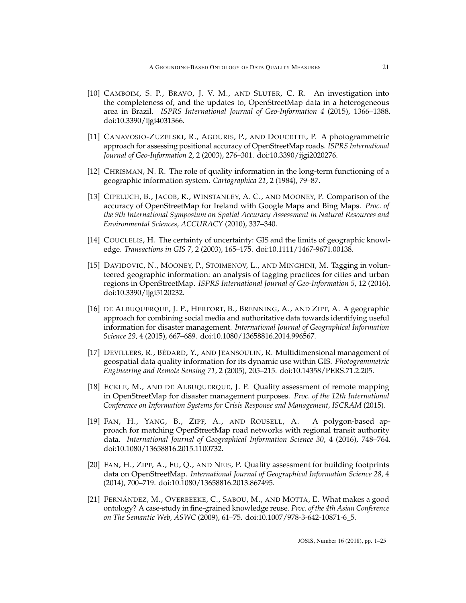- <span id="page-20-6"></span>[10] CAMBOIM, S. P., BRAVO, J. V. M., AND SLUTER, C. R. An investigation into the completeness of, and the updates to, OpenStreetMap data in a heterogeneous area in Brazil. *ISPRS International Journal of Geo-Information 4* (2015), 1366–1388. [doi:10.3390/ijgi4031366.](http://dx.doi.org/10.3390/ijgi4031366)
- <span id="page-20-5"></span>[11] CANAVOSIO-ZUZELSKI, R., AGOURIS, P., AND DOUCETTE, P. A photogrammetric approach for assessing positional accuracy of OpenStreetMap roads. *ISPRS International Journal of Geo-Information 2*, 2 (2003), 276–301. [doi:10.3390/ijgi2020276.](http://dx.doi.org/10.3390/ijgi2020276)
- <span id="page-20-0"></span>[12] CHRISMAN, N. R. The role of quality information in the long-term functioning of a geographic information system. *Cartographica 21*, 2 (1984), 79–87.
- <span id="page-20-7"></span>[13] CIPELUCH, B., JACOB, R., WINSTANLEY, A. C., AND MOONEY, P. Comparison of the accuracy of OpenStreetMap for Ireland with Google Maps and Bing Maps. *Proc. of the 9th International Symposium on Spatial Accuracy Assessment in Natural Resources and Environmental Sciences, ACCURACY* (2010), 337–340.
- <span id="page-20-2"></span>[14] COUCLELIS, H. The certainty of uncertainty: GIS and the limits of geographic knowledge. *Transactions in GIS 7*, 2 (2003), 165–175. [doi:10.1111/1467-9671.00138.](http://dx.doi.org/10.1111/1467-9671.00138)
- <span id="page-20-10"></span>[15] DAVIDOVIC, N., MOONEY, P., STOIMENOV, L., AND MINGHINI, M. Tagging in volunteered geographic information: an analysis of tagging practices for cities and urban regions in OpenStreetMap. *ISPRS International Journal of Geo-Information 5*, 12 (2016). [doi:10.3390/ijgi5120232.](http://dx.doi.org/10.3390/ijgi5120232)
- <span id="page-20-4"></span>[16] DE ALBUQUERQUE, J. P., HERFORT, B., BRENNING, A., AND ZIPF, A. A geographic approach for combining social media and authoritative data towards identifying useful information for disaster management. *International Journal of Geographical Information Science 29*, 4 (2015), 667–689. [doi:10.1080/13658816.2014.996567.](http://dx.doi.org/10.1080/13658816.2014.996567)
- <span id="page-20-1"></span>[17] DEVILLERS, R., BÉDARD, Y., AND JEANSOULIN, R. Multidimensional management of geospatial data quality information for its dynamic use within GIS. *Photogrammetric Engineering and Remote Sensing 71*, 2 (2005), 205–215. [doi:10.14358/PERS.71.2.205.](http://dx.doi.org/10.14358/PERS.71.2.205)
- <span id="page-20-3"></span>[18] ECKLE, M., AND DE ALBUQUERQUE, J. P. Quality assessment of remote mapping in OpenStreetMap for disaster management purposes. *Proc. of the 12th International Conference on Information Systems for Crisis Response and Management, ISCRAM* (2015).
- <span id="page-20-8"></span>[19] FAN, H., YANG, B., ZIPF, A., AND ROUSELL, A. A polygon-based approach for matching OpenStreetMap road networks with regional transit authority data. *International Journal of Geographical Information Science 30*, 4 (2016), 748–764. [doi:10.1080/13658816.2015.1100732.](http://dx.doi.org/10.1080/13658816.2015.1100732)
- <span id="page-20-9"></span>[20] FAN, H., ZIPF, A., FU, Q., AND NEIS, P. Quality assessment for building footprints data on OpenStreetMap. *International Journal of Geographical Information Science 28*, 4 (2014), 700–719. [doi:10.1080/13658816.2013.867495.](http://dx.doi.org/10.1080/13658816.2013.867495)
- <span id="page-20-11"></span>[21] FERNÁNDEZ, M., OVERBEEKE, C., SABOU, M., AND MOTTA, E. What makes a good ontology? A case-study in fine-grained knowledge reuse. *Proc. of the 4th Asian Conference on The Semantic Web, ASWC* (2009), 61–75. [doi:10.1007/978-3-642-10871-6\\_5.](http://dx.doi.org/10.1007/978-3-642-10871-6_5)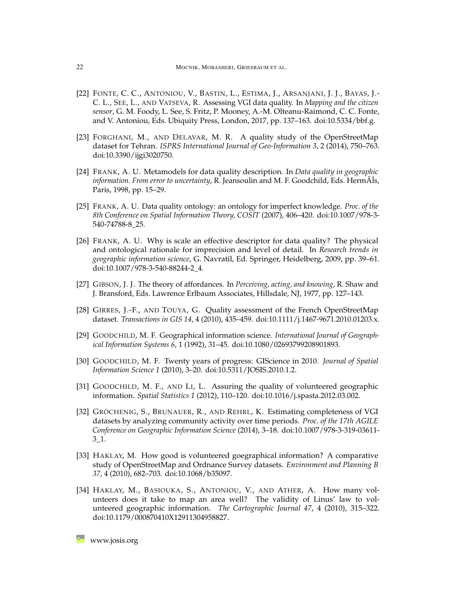- <span id="page-21-7"></span>[22] FONTE, C. C., ANTONIOU, V., BASTIN, L., ESTIMA, J., ARSANJANI, J. J., BAYAS, J.- C. L., SEE, L., AND VATSEVA, R. Assessing VGI data quality. In *Mapping and the citizen sensor*, G. M. Foody, L. See, S. Fritz, P. Mooney, A.-M. Olteanu-Raimond, C. C. Fonte, and V. Antoniou, Eds. Ubiquity Press, London, 2017, pp. 137–163. [doi:10.5334/bbf.g.](http://dx.doi.org/10.5334/bbf.g)
- <span id="page-21-9"></span>[23] FORGHANI, M., AND DELAVAR, M. R. A quality study of the OpenStreetMap dataset for Tehran. *ISPRS International Journal of Geo-Information 3*, 2 (2014), 750–763. [doi:10.3390/ijgi3020750.](http://dx.doi.org/10.3390/ijgi3020750)
- <span id="page-21-2"></span>[24] FRANK, A. U. Metamodels for data quality description. In *Data quality in geographic* information. From error to uncertainty, R. Jeansoulin and M. F. Goodchild, Eds. HermAls, Paris, 1998, pp. 15–29.
- <span id="page-21-4"></span>[25] FRANK, A. U. Data quality ontology: an ontology for imperfect knowledge. *Proc. of the 8th Conference on Spatial Information Theory, COSIT* (2007), 406–420. [doi:10.1007/978-3-](http://dx.doi.org/10.1007/978-3-540-74788-8_25) [540-74788-8\\_25.](http://dx.doi.org/10.1007/978-3-540-74788-8_25)
- <span id="page-21-3"></span>[26] FRANK, A. U. Why is scale an effective descriptor for data quality? The physical and ontological rationale for imprecision and level of detail. In *Research trends in geographic information science*, G. Navratil, Ed. Springer, Heidelberg, 2009, pp. 39–61. [doi:10.1007/978-3-540-88244-2\\_4.](http://dx.doi.org/10.1007/978-3-540-88244-2_4)
- <span id="page-21-8"></span>[27] GIBSON, J. J. The theory of affordances. In *Perceiving, acting, and knowing*, R. Shaw and J. Bransford, Eds. Lawrence Erlbaum Associates, Hillsdale, NJ, 1977, pp. 127–143.
- <span id="page-21-10"></span>[28] GIRRES, J.-F., AND TOUYA, G. Quality assessment of the French OpenStreetMap dataset. *Transactions in GIS 14*, 4 (2010), 435–459. [doi:10.1111/j.1467-9671.2010.01203.x.](http://dx.doi.org/10.1111/j.1467-9671.2010.01203.x)
- <span id="page-21-0"></span>[29] GOODCHILD, M. F. Geographical information science. *International Journal of Geographical Information Systems 6*, 1 (1992), 31–45. [doi:10.1080/02693799208901893.](http://dx.doi.org/10.1080/02693799208901893)
- <span id="page-21-1"></span>[30] GOODCHILD, M. F. Twenty years of progress: GIScience in 2010. *Journal of Spatial Information Science 1* (2010), 3–20. [doi:10.5311/JOSIS.2010.1.2.](http://dx.doi.org/10.5311/JOSIS.2010.1.2)
- <span id="page-21-5"></span>[31] GOODCHILD, M. F., AND LI, L. Assuring the quality of volunteered geographic information. *Spatial Statistics 1* (2012), 110–120. [doi:10.1016/j.spasta.2012.03.002.](http://dx.doi.org/10.1016/j.spasta.2012.03.002)
- <span id="page-21-12"></span>[32] GRÖCHENIG, S., BRUNAUER, R., AND REHRL, K. Estimating completeness of VGI datasets by analyzing community activity over time periods. *Proc. of the 17th AGILE Conference on Geographic Information Science* (2014), 3–18. [doi:10.1007/978-3-319-03611-](http://dx.doi.org/10.1007/978-3-319-03611-3_1)  $3\_1$ .
- <span id="page-21-6"></span>[33] HAKLAY, M. How good is volunteered goegraphical information? A comparative study of OpenStreetMap and Ordnance Survey datasets. *Environment and Planning B 37*, 4 (2010), 682–703. [doi:10.1068/b35097.](http://dx.doi.org/10.1068/b35097)
- <span id="page-21-11"></span>[34] HAKLAY, M., BASIOUKA, S., ANTONIOU, V., AND ATHER, A. How many volunteers does it take to map an area well? The validity of Linus' law to volunteered geographic information. *The Cartographic Journal 47*, 4 (2010), 315–322. [doi:10.1179/000870410X12911304958827.](http://dx.doi.org/10.1179/000870410X12911304958827)

**[www.josis.org](http://www.josis.org)**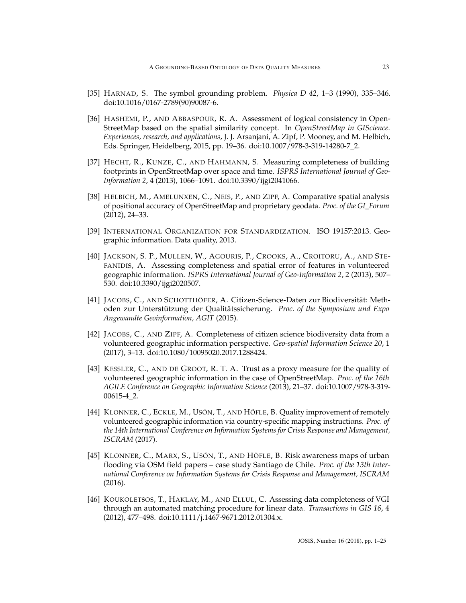- <span id="page-22-5"></span>[35] HARNAD, S. The symbol grounding problem. *Physica D 42*, 1–3 (1990), 335–346. [doi:10.1016/0167-2789\(90\)90087-6.](http://dx.doi.org/10.1016/0167-2789(90)90087-6)
- <span id="page-22-7"></span>[36] HASHEMI, P., AND ABBASPOUR, R. A. Assessment of logical consistency in Open-StreetMap based on the spatial similarity concept. In *OpenStreetMap in GIScience. Experiences, research, and applications*, J. J. Arsanjani, A. Zipf, P. Mooney, and M. Helbich, Eds. Springer, Heidelberg, 2015, pp. 19–36. [doi:10.1007/978-3-319-14280-7\\_2.](http://dx.doi.org/10.1007/978-3-319-14280-7_2)
- <span id="page-22-8"></span>[37] HECHT, R., KUNZE, C., AND HAHMANN, S. Measuring completeness of building footprints in OpenStreetMap over space and time. *ISPRS International Journal of Geo-Information 2*, 4 (2013), 1066–1091. [doi:10.3390/ijgi2041066.](http://dx.doi.org/10.3390/ijgi2041066)
- <span id="page-22-9"></span>[38] HELBICH, M., AMELUNXEN, C., NEIS, P., AND ZIPF, A. Comparative spatial analysis of positional accuracy of OpenStreetMap and proprietary geodata. *Proc. of the GI\_Forum* (2012), 24–33.
- <span id="page-22-1"></span>[39] INTERNATIONAL ORGANIZATION FOR STANDARDIZATION. ISO 19157:2013. Geographic information. Data quality, 2013.
- <span id="page-22-10"></span>[40] JACKSON, S. P., MULLEN, W., AGOURIS, P., CROOKS, A., CROITORU, A., AND STE-FANIDIS, A. Assessing completeness and spatial error of features in volunteered geographic information. *ISPRS International Journal of Geo-Information 2*, 2 (2013), 507– 530. [doi:10.3390/ijgi2020507.](http://dx.doi.org/10.3390/ijgi2020507)
- <span id="page-22-2"></span>[41] JACOBS, C., AND SCHOTTHÖFER, A. Citizen-Science-Daten zur Biodiversität: Methoden zur Unterstützung der Qualitätssicherung. *Proc. of the Symposium und Expo Angewandte Geoinformation, AGIT* (2015).
- <span id="page-22-0"></span>[42] JACOBS, C., AND ZIPF, A. Completeness of citizen science biodiversity data from a volunteered geographic information perspective. *Geo-spatial Information Science 20*, 1 (2017), 3–13. [doi:10.1080/10095020.2017.1288424.](http://dx.doi.org/10.1080/10095020.2017.1288424)
- <span id="page-22-3"></span>[43] KESSLER, C., AND DE GROOT, R. T. A. Trust as a proxy measure for the quality of volunteered geographic information in the case of OpenStreetMap. *Proc. of the 16th AGILE Conference on Geographic Information Science* (2013), 21–37. [doi:10.1007/978-3-319-](http://dx.doi.org/10.1007/978-3-319-00615-4_2) [00615-4\\_2.](http://dx.doi.org/10.1007/978-3-319-00615-4_2)
- <span id="page-22-4"></span>[44] KLONNER, C., ECKLE, M., USÓN, T., AND HÖFLE, B. Quality improvement of remotely volunteered geographic information via country-specific mapping instructions. *Proc. of the 14th International Conference on Information Systems for Crisis Response and Management, ISCRAM* (2017).
- <span id="page-22-6"></span>[45] KLONNER, C., MARX, S., USÓN, T., AND HÖFLE, B. Risk awareness maps of urban flooding via OSM field papers – case study Santiago de Chile. *Proc. of the 13th International Conference on Information Systems for Crisis Response and Management, ISCRAM* (2016).
- <span id="page-22-11"></span>[46] KOUKOLETSOS, T., HAKLAY, M., AND ELLUL, C. Assessing data completeness of VGI through an automated matching procedure for linear data. *Transactions in GIS 16*, 4 (2012), 477–498. [doi:10.1111/j.1467-9671.2012.01304.x.](http://dx.doi.org/10.1111/j.1467-9671.2012.01304.x)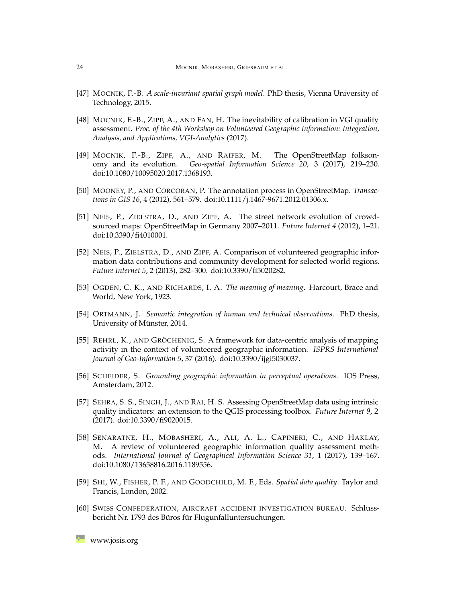- <span id="page-23-3"></span>[47] MOCNIK, F.-B. *A scale-invariant spatial graph model*. PhD thesis, Vienna University of Technology, 2015.
- <span id="page-23-7"></span>[48] MOCNIK, F.-B., ZIPF, A., AND FAN, H. The inevitability of calibration in VGI quality assessment. *Proc. of the 4th Workshop on Volunteered Geographic Information: Integration, Analysis, and Applications, VGI-Analytics* (2017).
- <span id="page-23-13"></span>[49] MOCNIK, F.-B., ZIPF, A., AND RAIFER, M. The OpenStreetMap folksonomy and its evolution. *Geo-spatial Information Science 20*, 3 (2017), 219–230. [doi:10.1080/10095020.2017.1368193.](http://dx.doi.org/10.1080/10095020.2017.1368193)
- <span id="page-23-12"></span>[50] MOONEY, P., AND CORCORAN, P. The annotation process in OpenStreetMap. *Transactions in GIS 16*, 4 (2012), 561–579. [doi:10.1111/j.1467-9671.2012.01306.x.](http://dx.doi.org/10.1111/j.1467-9671.2012.01306.x)
- <span id="page-23-8"></span>[51] NEIS, P., ZIELSTRA, D., AND ZIPF, A. The street network evolution of crowdsourced maps: OpenStreetMap in Germany 2007–2011. *Future Internet 4* (2012), 1–21. [doi:10.3390/fi4010001.](http://dx.doi.org/10.3390/fi4010001)
- <span id="page-23-11"></span>[52] NEIS, P., ZIELSTRA, D., AND ZIPF, A. Comparison of volunteered geographic information data contributions and community development for selected world regions. *Future Internet 5*, 2 (2013), 282–300. [doi:10.3390/fi5020282.](http://dx.doi.org/10.3390/fi5020282)
- <span id="page-23-4"></span>[53] OGDEN, C. K., AND RICHARDS, I. A. *The meaning of meaning*. Harcourt, Brace and World, New York, 1923.
- <span id="page-23-5"></span>[54] ORTMANN, J. *Semantic integration of human and technical observations*. PhD thesis, University of Münster, 2014.
- <span id="page-23-10"></span>[55] REHRL, K., AND GRÖCHENIG, S. A framework for data-centric analysis of mapping activity in the context of volunteered geographic information. *ISPRS International Journal of Geo-Information 5*, 37 (2016). [doi:10.3390/ijgi5030037.](http://dx.doi.org/10.3390/ijgi5030037)
- <span id="page-23-6"></span>[56] SCHEIDER, S. *Grounding geographic information in perceptual operations*. IOS Press, Amsterdam, 2012.
- <span id="page-23-9"></span>[57] SEHRA, S. S., SINGH, J., AND RAI, H. S. Assessing OpenStreetMap data using intrinsic quality indicators: an extension to the QGIS processing toolbox. *Future Internet 9*, 2 (2017). [doi:10.3390/fi9020015.](http://dx.doi.org/10.3390/fi9020015)
- <span id="page-23-2"></span>[58] SENARATNE, H., MOBASHERI, A., ALI, A. L., CAPINERI, C., AND HAKLAY, M. A review of volunteered geographic information quality assessment methods. *International Journal of Geographical Information Science 31*, 1 (2017), 139–167. [doi:10.1080/13658816.2016.1189556.](http://dx.doi.org/10.1080/13658816.2016.1189556)
- <span id="page-23-1"></span>[59] SHI, W., FISHER, P. F., AND GOODCHILD, M. F., Eds. *Spatial data quality*. Taylor and Francis, London, 2002.
- <span id="page-23-0"></span>[60] SWISS CONFEDERATION, AIRCRAFT ACCIDENT INVESTIGATION BUREAU. Schlussbericht Nr. 1793 des Büros für Flugunfalluntersuchungen.

**[www.josis.org](http://www.josis.org)**